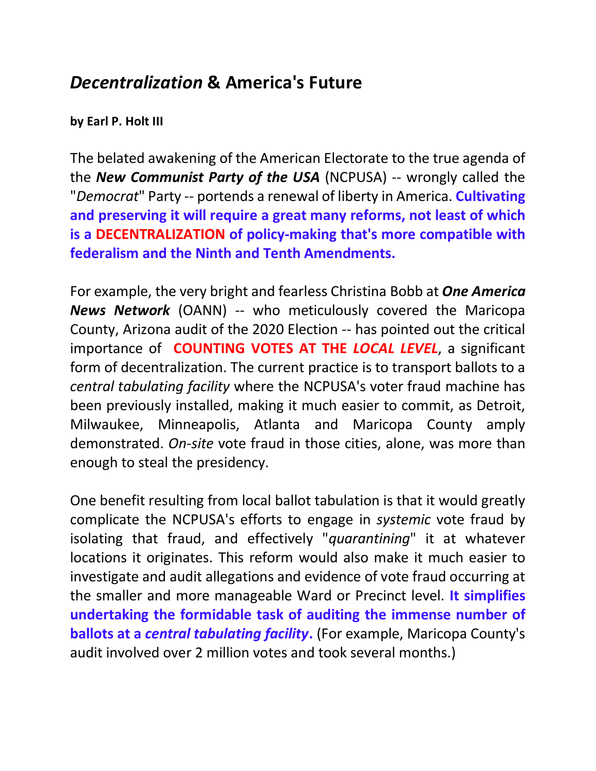## *Decentralization* **& America's Future**

## **by Earl P. Holt III**

The belated awakening of the American Electorate to the true agenda of the *New Communist Party of the USA* (NCPUSA) -- wrongly called the "*Democrat*" Party -- portends a renewal of liberty in America. **Cultivating and preserving it will require a great many reforms, not least of which is a DECENTRALIZATION of policy-making that's more compatible with federalism and the Ninth and Tenth Amendments.**

For example, the very bright and fearless Christina Bobb at *One America News Network* (OANN) -- who meticulously covered the Maricopa County, Arizona audit of the 2020 Election -- has pointed out the critical importance of **COUNTING VOTES AT THE** *LOCAL LEVEL*, a significant form of decentralization. The current practice is to transport ballots to a *central tabulating facility* where the NCPUSA's voter fraud machine has been previously installed, making it much easier to commit, as Detroit, Milwaukee, Minneapolis, Atlanta and Maricopa County amply demonstrated. *On-site* vote fraud in those cities, alone, was more than enough to steal the presidency.

One benefit resulting from local ballot tabulation is that it would greatly complicate the NCPUSA's efforts to engage in *systemic* vote fraud by isolating that fraud, and effectively "*quarantining*" it at whatever locations it originates. This reform would also make it much easier to investigate and audit allegations and evidence of vote fraud occurring at the smaller and more manageable Ward or Precinct level. **It simplifies undertaking the formidable task of auditing the immense number of ballots at a** *central tabulating facility***.** (For example, Maricopa County's audit involved over 2 million votes and took several months.)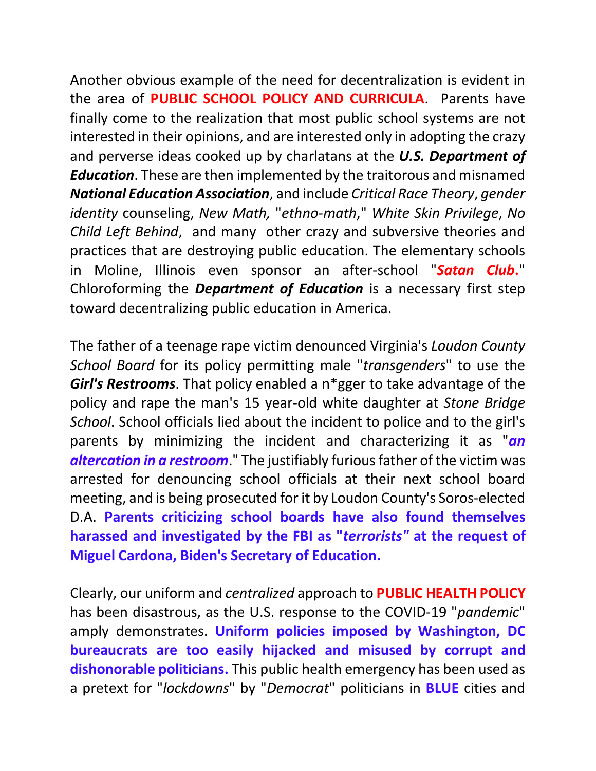Another obvious example of the need for decentralization is evident in the area of **PUBLIC SCHOOL POLICY AND CURRICULA**. Parents have finally come to the realization that most public school systems are not interested in their opinions, and are interested only in adopting the crazy and perverse ideas cooked up by charlatans at the *U.S. Department of Education*. These are then implemented by the traitorous and misnamed *National Education Association*, and include *Critical Race Theory*, *gender identity* counseling, *New Math,* "*ethno-math*," *White Skin Privilege*, *No Child Left Behind*, and many other crazy and subversive theories and practices that are destroying public education. The elementary schools in Moline, Illinois even sponsor an after-school "*Satan Club***.**" Chloroforming the *Department of Education* is a necessary first step toward decentralizing public education in America.

The father of a teenage rape victim denounced Virginia's *Loudon County School Board* for its policy permitting male "*transgenders*" to use the *Girl's Restrooms*. That policy enabled a n\*gger to take advantage of the policy and rape the man's 15 year-old white daughter at *Stone Bridge School*. School officials lied about the incident to police and to the girl's parents by minimizing the incident and characterizing it as "*an altercation in a restroom*." The justifiably furious father of the victim was arrested for denouncing school officials at their next school board meeting, and is being prosecuted for it by Loudon County's Soros-elected D.A. **Parents criticizing school boards have also found themselves harassed and investigated by the FBI as "***terrorists"* **at the request of Miguel Cardona, Biden's Secretary of Education.**

Clearly, our uniform and *centralized* approach to **PUBLIC HEALTH POLICY** has been disastrous, as the U.S. response to the COVID-19 "*pandemic*" amply demonstrates. **Uniform policies imposed by Washington, DC bureaucrats are too easily hijacked and misused by corrupt and dishonorable politicians.** This public health emergency has been used as a pretext for "*lockdowns*" by "*Democrat*" politicians in **BLUE** cities and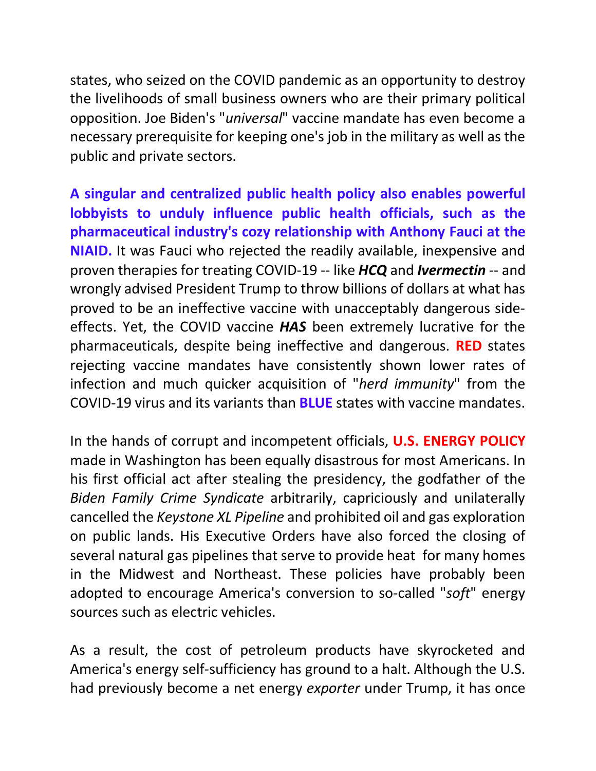states, who seized on the COVID pandemic as an opportunity to destroy the livelihoods of small business owners who are their primary political opposition. Joe Biden's "*universal*" vaccine mandate has even become a necessary prerequisite for keeping one's job in the military as well as the public and private sectors.

**A singular and centralized public health policy also enables powerful lobbyists to unduly influence public health officials, such as the pharmaceutical industry's cozy relationship with Anthony Fauci at the NIAID.** It was Fauci who rejected the readily available, inexpensive and proven therapies for treating COVID-19 -- like *HCQ* and *Ivermectin* -- and wrongly advised President Trump to throw billions of dollars at what has proved to be an ineffective vaccine with unacceptably dangerous sideeffects. Yet, the COVID vaccine *HAS* been extremely lucrative for the pharmaceuticals, despite being ineffective and dangerous. **RED** states rejecting vaccine mandates have consistently shown lower rates of infection and much quicker acquisition of "*herd immunity*" from the COVID-19 virus and its variants than **BLUE** states with vaccine mandates.

In the hands of corrupt and incompetent officials, **U.S. ENERGY POLICY** made in Washington has been equally disastrous for most Americans. In his first official act after stealing the presidency, the godfather of the *Biden Family Crime Syndicate* arbitrarily, capriciously and unilaterally cancelled the *Keystone XL Pipeline* and prohibited oil and gas exploration on public lands. His Executive Orders have also forced the closing of several natural gas pipelines that serve to provide heat for many homes in the Midwest and Northeast. These policies have probably been adopted to encourage America's conversion to so-called "*soft*" energy sources such as electric vehicles.

As a result, the cost of petroleum products have skyrocketed and America's energy self-sufficiency has ground to a halt. Although the U.S. had previously become a net energy *exporter* under Trump, it has once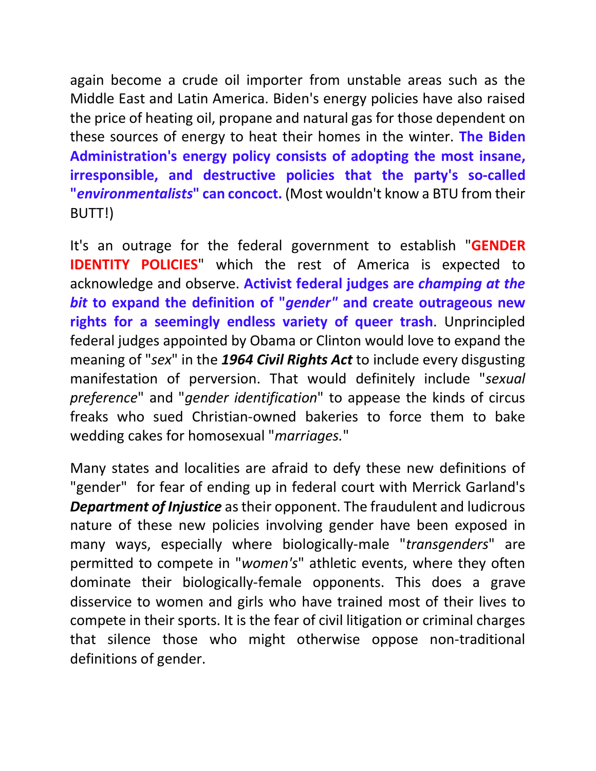again become a crude oil importer from unstable areas such as the Middle East and Latin America. Biden's energy policies have also raised the price of heating oil, propane and natural gas for those dependent on these sources of energy to heat their homes in the winter. **The Biden Administration's energy policy consists of adopting the most insane, irresponsible, and destructive policies that the party's so-called "***environmentalists***" can concoct.** (Most wouldn't know a BTU from their BUTT!)

It's an outrage for the federal government to establish "**GENDER IDENTITY POLICIES**" which the rest of America is expected to acknowledge and observe. **Activist federal judges are** *champing at the bit* **to expand the definition of "***gender"* **and create outrageous new rights for a seemingly endless variety of queer trash**. Unprincipled federal judges appointed by Obama or Clinton would love to expand the meaning of "*sex*" in the *1964 Civil Rights Act* to include every disgusting manifestation of perversion. That would definitely include "*sexual preference*" and "*gender identification*" to appease the kinds of circus freaks who sued Christian-owned bakeries to force them to bake wedding cakes for homosexual "*marriages.*"

Many states and localities are afraid to defy these new definitions of "gender" for fear of ending up in federal court with Merrick Garland's *Department of Injustice* as their opponent. The fraudulent and ludicrous nature of these new policies involving gender have been exposed in many ways, especially where biologically-male "*transgenders*" are permitted to compete in "*women's*" athletic events, where they often dominate their biologically-female opponents. This does a grave disservice to women and girls who have trained most of their lives to compete in their sports. It is the fear of civil litigation or criminal charges that silence those who might otherwise oppose non-traditional definitions of gender.